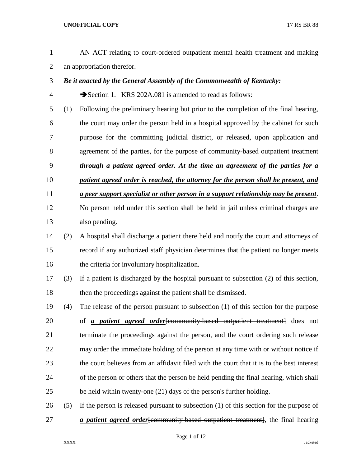AN ACT relating to court-ordered outpatient mental health treatment and making an appropriation therefor. *Be it enacted by the General Assembly of the Commonwealth of Kentucky:* Section 1. KRS 202A.081 is amended to read as follows: (1) Following the preliminary hearing but prior to the completion of the final hearing, the court may order the person held in a hospital approved by the cabinet for such purpose for the committing judicial district, or released, upon application and agreement of the parties, for the purpose of community-based outpatient treatment *through a patient agreed order. At the time an agreement of the parties for a patient agreed order is reached, the attorney for the person shall be present, and a peer support specialist or other person in a support relationship may be present*. No person held under this section shall be held in jail unless criminal charges are also pending. (2) A hospital shall discharge a patient there held and notify the court and attorneys of record if any authorized staff physician determines that the patient no longer meets the criteria for involuntary hospitalization. (3) If a patient is discharged by the hospital pursuant to subsection (2) of this section, then the proceedings against the patient shall be dismissed. (4) The release of the person pursuant to subsection (1) of this section for the purpose of *a patient agreed order*[community-based outpatient treatment] does not terminate the proceedings against the person, and the court ordering such release may order the immediate holding of the person at any time with or without notice if the court believes from an affidavit filed with the court that it is to the best interest of the person or others that the person be held pending the final hearing, which shall be held within twenty-one (21) days of the person's further holding. (5) If the person is released pursuant to subsection (1) of this section for the purpose of *a patient agreed order*[community-based outpatient treatment], the final hearing

Page 1 of 12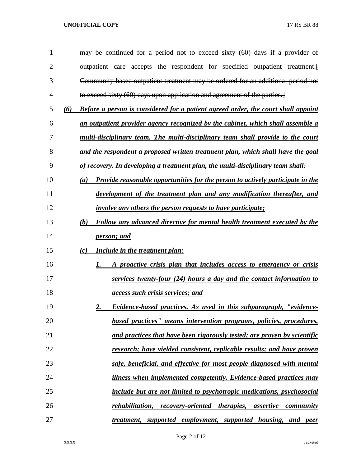| 1  | may be continued for a period not to exceed sixty (60) days if a provider of             |
|----|------------------------------------------------------------------------------------------|
| 2  | outpatient care accepts the respondent for specified outpatient treatment.               |
| 3  | Community based outpatient treatment may be ordered for an additional period not         |
| 4  | to exceed sixty (60) days upon application and agreement of the parties.                 |
| 5  | Before a person is considered for a patient agreed order, the court shall appoint<br>(6) |
| 6  | an outpatient provider agency recognized by the cabinet, which shall assemble a          |
| 7  | multi-disciplinary team. The multi-disciplinary team shall provide to the court          |
| 8  | and the respondent a proposed written treatment plan, which shall have the goal          |
| 9  | of recovery. In developing a treatment plan, the multi-disciplinary team shall:          |
| 10 | Provide reasonable opportunities for the person to actively participate in the<br>(a)    |
| 11 | development of the treatment plan and any modification thereafter, and                   |
| 12 | <i>involve any others the person requests to have participate;</i>                       |
| 13 | Follow any advanced directive for mental health treatment executed by the<br>(b)         |
| 14 | <u>person; and</u>                                                                       |
| 15 | <b>Include in the treatment plan:</b><br>(c)                                             |
| 16 | A proactive crisis plan that includes access to emergency or crisis<br>1.                |
| 17 | services twenty-four (24) hours a day and the contact information to                     |
| 18 | <i>access such crisis services; and</i>                                                  |
| 19 | Evidence-based practices. As used in this subparagraph, "evidence-<br><u>2.</u>          |
| 20 | based practices" means intervention programs, policies, procedures,                      |
| 21 | and practices that have been rigorously tested; are proven by scientific                 |
| 22 | research; have yielded consistent, replicable results; and have proven                   |
| 23 | safe, beneficial, and effective for most people diagnosed with mental                    |
| 24 | illness when implemented competently. Evidence-based practices may                       |
| 25 | include but are not limited to psychotropic medications, psychosocial                    |
| 26 | rehabilitation,<br>recovery-oriented therapies,<br>assertive<br>community                |
| 27 | treatment, supported employment, supported housing, and peer                             |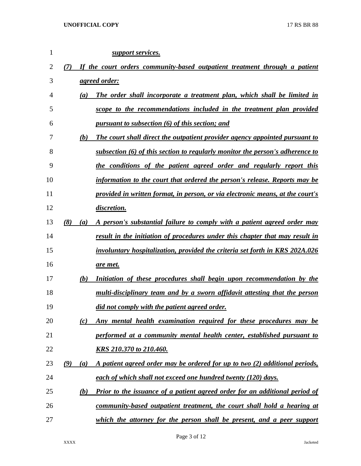| $\mathbf{1}$ |            | support services.                                                                  |
|--------------|------------|------------------------------------------------------------------------------------|
| 2            | (7)        | If the court orders community-based outpatient treatment through a patient         |
| 3            |            | <u>agreed order:</u>                                                               |
| 4            | (a)        | The order shall incorporate a treatment plan, which shall be limited in            |
| 5            |            | scope to the recommendations included in the treatment plan provided               |
| 6            |            | pursuant to subsection (6) of this section; and                                    |
| 7            | (b)        | The court shall direct the outpatient provider agency appointed pursuant to        |
| 8            |            | subsection (6) of this section to regularly monitor the person's adherence to      |
| 9            |            | the conditions of the patient agreed order and regularly report this               |
| 10           |            | information to the court that ordered the person's release. Reports may be         |
| 11           |            | provided in written format, in person, or via electronic means, at the court's     |
| 12           |            | discretion.                                                                        |
| 13           | (8)<br>(a) | A person's substantial failure to comply with a patient agreed order may           |
| 14           |            | result in the initiation of procedures under this chapter that may result in       |
| 15           |            | involuntary hospitalization, provided the criteria set forth in KRS 202A.026       |
| 16           |            | <u>are met.</u>                                                                    |
| 17           | (b)        | Initiation of these procedures shall begin upon recommendation by the              |
| 18           |            | multi-disciplinary team and by a sworn affidavit attesting that the person         |
| 19           |            | did not comply with the patient agreed order.                                      |
| 20           | (c)        | Any mental health examination required for these procedures may be                 |
| 21           |            | performed at a community mental health center, established pursuant to             |
| 22           |            | KRS 210.370 to 210.460.                                                            |
| 23           | (9)<br>(a) | A patient agreed order may be ordered for up to two (2) additional periods,        |
| 24           |            | each of which shall not exceed one hundred twenty (120) days.                      |
| 25           | (b)        | <b>Prior to the issuance of a patient agreed order for an additional period of</b> |
| 26           |            | community-based outpatient treatment, the court shall hold a hearing at            |
| 27           |            | which the attorney for the person shall be present, and a peer support             |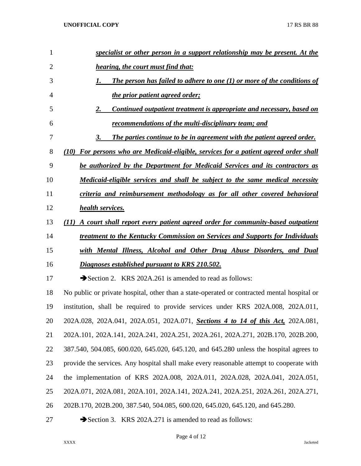| 1              | specialist or other person in a support relationship may be present. At the                 |
|----------------|---------------------------------------------------------------------------------------------|
| $\overline{2}$ | hearing, the court must find that:                                                          |
| 3              | The person has failed to adhere to one $(1)$ or more of the conditions of<br>1.             |
| 4              | <u>the prior patient agreed order;</u>                                                      |
| 5              | Continued outpatient treatment is appropriate and necessary, based on<br>2.                 |
| 6              | <u>recommendations of the multi-disciplinary team; and</u>                                  |
| 7              | The parties continue to be in agreement with the patient agreed order.<br>3.                |
| 8              | (10) For persons who are Medicaid-eligible, services for a patient agreed order shall       |
| 9              | be authorized by the Department for Medicaid Services and its contractors as                |
| 10             | <u>Medicaid-eligible services and shall be subject to the same medical necessity</u>        |
| 11             | criteria and reimbursement methodology as for all other covered behavioral                  |
| 12             | health services.                                                                            |
| 13             | A court shall report every patient agreed order for community-based outpatient<br>(II)      |
| 14             | <u>treatment to the Kentucky Commission on Services and Supports for Individuals</u>        |
| 15             | with Mental Illness, Alcohol and Other Drug Abuse Disorders, and Dual                       |
| 16             | Diagnoses established pursuant to KRS 210.502.                                              |
| 17             | Section 2. KRS 202A.261 is amended to read as follows:                                      |
| 18             | No public or private hospital, other than a state-operated or contracted mental hospital or |
| 19             | institution, shall be required to provide services under KRS 202A.008, 202A.011,            |
| 20             | 202A.028, 202A.041, 202A.051, 202A.071, Sections 4 to 14 of this Act, 202A.081,             |
| 21             | 202A.101, 202A.141, 202A.241, 202A.251, 202A.261, 202A.271, 202B.170, 202B.200,             |
| 22             | 387.540, 504.085, 600.020, 645.020, 645.120, and 645.280 unless the hospital agrees to      |
| 23             | provide the services. Any hospital shall make every reasonable attempt to cooperate with    |
| 24             | the implementation of KRS 202A.008, 202A.011, 202A.028, 202A.041, 202A.051,                 |
| 25             | 202A.071, 202A.081, 202A.101, 202A.141, 202A.241, 202A.251, 202A.261, 202A.271,             |
| 26             | 202B.170, 202B.200, 387.540, 504.085, 600.020, 645.020, 645.120, and 645.280.               |
|                |                                                                                             |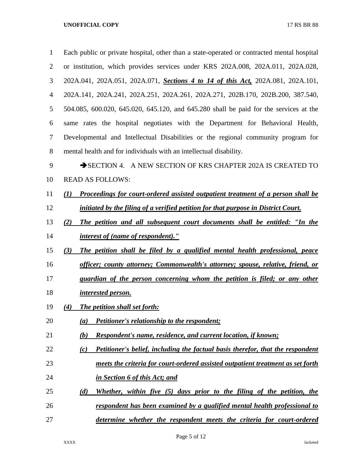| $\mathbf{1}$   | Each public or private hospital, other than a state-operated or contracted mental hospital |
|----------------|--------------------------------------------------------------------------------------------|
| $\overline{2}$ | or institution, which provides services under KRS 202A.008, 202A.011, 202A.028,            |
| 3              | 202A.041, 202A.051, 202A.071, Sections 4 to 14 of this Act, 202A.081, 202A.101,            |
| 4              | 202A.141, 202A.241, 202A.251, 202A.261, 202A.271, 202B.170, 202B.200, 387.540,             |
| 5              | 504.085, 600.020, 645.020, 645.120, and 645.280 shall be paid for the services at the      |
| 6              | same rates the hospital negotiates with the Department for Behavioral Health,              |
| 7              | Developmental and Intellectual Disabilities or the regional community program for          |
| 8              | mental health and for individuals with an intellectual disability.                         |
| 9              | SECTION 4. A NEW SECTION OF KRS CHAPTER 202A IS CREATED TO                                 |
| 10             | <b>READ AS FOLLOWS:</b>                                                                    |
| 11             | Proceedings for court-ordered assisted outpatient treatment of a person shall be<br>(I)    |
| 12             | initiated by the filing of a verified petition for that purpose in District Court.         |
| 13             | The petition and all subsequent court documents shall be entitled: "In the<br>(2)          |
| 14             | <i>interest of (name of respondent)."</i>                                                  |
| 15             | The petition shall be filed by a qualified mental health professional, peace<br>(3)        |
| 16             | <u>officer; county attorney; Commonwealth's attorney; spouse, relative, friend, or</u>     |
| 17             | guardian of the person concerning whom the petition is filed; or any other                 |
| 18             | interested person.                                                                         |
| 19             | The petition shall set forth:<br>(4)                                                       |
| 20             | <b>Petitioner's relationship to the respondent;</b><br>(a)                                 |
| 21             | <b>Respondent's name, residence, and current location, if known;</b><br>(b)                |
| 22             | Petitioner's belief, including the factual basis therefor, that the respondent<br>(c)      |
| 23             | meets the criteria for court-ordered assisted outpatient treatment as set forth            |
| 24             | in Section 6 of this Act; and                                                              |
| 25             | Whether, within five (5) days prior to the filing of the petition, the<br>(d)              |
| 26             | respondent has been examined by a qualified mental health professional to                  |
| 27             | determine whether the respondent meets the criteria for court-ordered                      |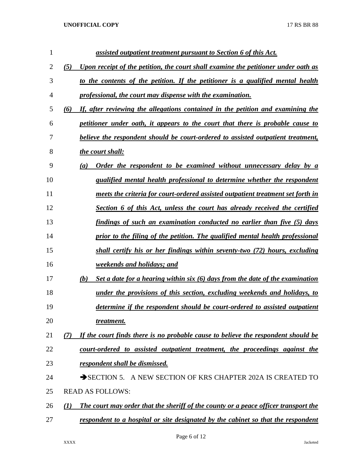| (5)<br>Upon receipt of the petition, the court shall examine the petitioner under oath as<br>to the contents of the petition. If the petitioner is a qualified mental health<br>professional, the court may dispense with the examination. |
|--------------------------------------------------------------------------------------------------------------------------------------------------------------------------------------------------------------------------------------------|
|                                                                                                                                                                                                                                            |
|                                                                                                                                                                                                                                            |
|                                                                                                                                                                                                                                            |
| If, after reviewing the allegations contained in the petition and examining the<br>(6)                                                                                                                                                     |
| petitioner under oath, it appears to the court that there is probable cause to                                                                                                                                                             |
| believe the respondent should be court-ordered to assisted outpatient treatment,                                                                                                                                                           |
| the court shall:                                                                                                                                                                                                                           |
| Order the respondent to be examined without unnecessary delay by a<br>(a)                                                                                                                                                                  |
| qualified mental health professional to determine whether the respondent                                                                                                                                                                   |
| meets the criteria for court-ordered assisted outpatient treatment set forth in                                                                                                                                                            |
| Section 6 of this Act, unless the court has already received the certified                                                                                                                                                                 |
| findings of such an examination conducted no earlier than five (5) days                                                                                                                                                                    |
| prior to the filing of the petition. The qualified mental health professional                                                                                                                                                              |
| shall certify his or her findings within seventy-two (72) hours, excluding                                                                                                                                                                 |
| <i>weekends and holidays; and</i>                                                                                                                                                                                                          |
| (b)<br>Set a date for a hearing within six (6) days from the date of the examination                                                                                                                                                       |
| under the provisions of this section, excluding weekends and holidays, to                                                                                                                                                                  |
| determine if the respondent should be court-ordered to assisted outpatient                                                                                                                                                                 |
| treatment.                                                                                                                                                                                                                                 |
| If the court finds there is no probable cause to believe the respondent should be<br>(7)                                                                                                                                                   |
| court-ordered to assisted outpatient treatment, the proceedings against the                                                                                                                                                                |
| respondent shall be dismissed.                                                                                                                                                                                                             |
| SECTION 5. A NEW SECTION OF KRS CHAPTER 202A IS CREATED TO                                                                                                                                                                                 |
| <b>READ AS FOLLOWS:</b>                                                                                                                                                                                                                    |
| The court may order that the sheriff of the county or a peace officer transport the<br>(I)                                                                                                                                                 |
|                                                                                                                                                                                                                                            |
|                                                                                                                                                                                                                                            |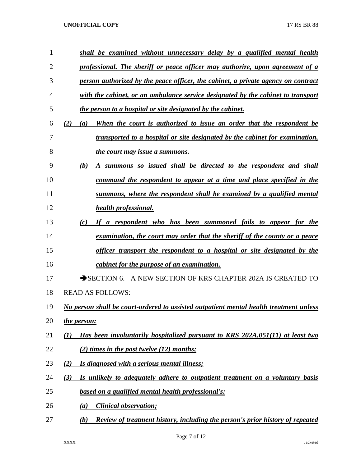| 1              | shall be examined without unnecessary delay by a qualified mental health                    |
|----------------|---------------------------------------------------------------------------------------------|
| $\overline{2}$ | professional. The sheriff or peace officer may authorize, upon agreement of a               |
| 3              | person authorized by the peace officer, the cabinet, a private agency on contract           |
| 4              | with the cabinet, or an ambulance service designated by the cabinet to transport            |
| 5              | the person to a hospital or site designated by the cabinet.                                 |
| 6              | When the court is authorized to issue an order that the respondent be<br>(2)<br>(a)         |
| 7              | transported to a hospital or site designated by the cabinet for examination,                |
| 8              | <i>the court may issue a summons.</i>                                                       |
| 9              | (b)<br>A summons so issued shall be directed to the respondent and shall                    |
| 10             | command the respondent to appear at a time and place specified in the                       |
| 11             | summons, where the respondent shall be examined by a qualified mental                       |
| 12             | health professional.                                                                        |
| 13             | a respondent who has been summoned fails to appear for the<br>(c)<br>If                     |
| 14             | examination, the court may order that the sheriff of the county or a peace                  |
| 15             | officer transport the respondent to a hospital or site designated by the                    |
| 16             | cabinet for the purpose of an examination.                                                  |
| 17             | SECTION 6. A NEW SECTION OF KRS CHAPTER 202A IS CREATED TO                                  |
| 18             | <b>READ AS FOLLOWS:</b>                                                                     |
| 19             | No person shall be court-ordered to assisted outpatient mental health treatment unless      |
| 20             | the person:                                                                                 |
| 21             | Has been involuntarily hospitalized pursuant to KRS 202A.051(11) at least two<br>(1)        |
| 22             | (2) times in the past twelve $(12)$ months;                                                 |
| 23             | Is diagnosed with a serious mental illness;<br>(2)                                          |
| 24             | Is unlikely to adequately adhere to outpatient treatment on a voluntary basis<br>(3)        |
| 25             | based on a qualified mental health professional's:                                          |
| 26             | <i><b>Clinical observation;</b></i><br>(a)                                                  |
| 27             | <b>Review of treatment history, including the person's prior history of repeated</b><br>(b) |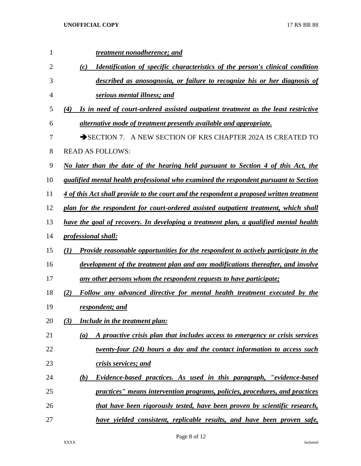| 1  | treatment nonadherence; and                                                                      |
|----|--------------------------------------------------------------------------------------------------|
| 2  | <b>Identification of specific characteristics of the person's clinical condition</b><br>(c)      |
| 3  | described as anosognosia, or failure to recognize his or her diagnosis of                        |
| 4  | serious mental illness; and                                                                      |
| 5  | Is in need of court-ordered assisted outpatient treatment as the least restrictive<br>(4)        |
| 6  | alternative mode of treatment presently available and appropriate.                               |
| 7  | SECTION 7. A NEW SECTION OF KRS CHAPTER 202A IS CREATED TO                                       |
| 8  | <b>READ AS FOLLOWS:</b>                                                                          |
| 9  | No later than the date of the hearing held pursuant to Section 4 of this Act, the                |
| 10 | qualified mental health professional who examined the respondent pursuant to Section             |
| 11 | 4 of this Act shall provide to the court and the respondent a proposed written treatment         |
| 12 | plan for the respondent for court-ordered assisted outpatient treatment, which shall             |
| 13 | have the goal of recovery. In developing a treatment plan, a qualified mental health             |
| 14 | <i>professional shall:</i>                                                                       |
| 15 | <b>Provide reasonable opportunities for the respondent to actively participate in the</b><br>(I) |
| 16 | development of the treatment plan and any modifications thereafter, and involve                  |
| 17 | <u>any other persons whom the respondent requests to have participate;</u>                       |
| 18 | (2)<br>Follow any advanced directive for mental health treatment executed by the                 |
| 19 | respondent; and                                                                                  |
| 20 | (3)<br><b>Include in the treatment plan:</b>                                                     |
| 21 | A proactive crisis plan that includes access to emergency or crisis services<br>(a)              |
| 22 | twenty-four (24) hours a day and the contact information to access such                          |
| 23 | crisis services; and                                                                             |
| 24 | (b)<br>Evidence-based practices. As used in this paragraph, "evidence-based                      |
| 25 | practices" means intervention programs, policies, procedures, and practices                      |
| 26 | <u>that have been rigorously tested, have been proven by scientific research,</u>                |
| 27 | have yielded consistent, replicable results, and have been proven safe,                          |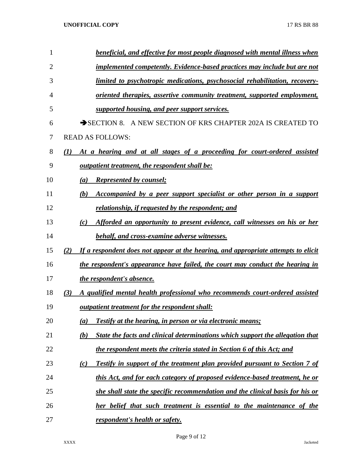| 1  | beneficial, and effective for most people diagnosed with mental illness when                |
|----|---------------------------------------------------------------------------------------------|
| 2  | <b>implemented competently. Evidence-based practices may include but are not</b>            |
| 3  | limited to psychotropic medications, psychosocial rehabilitation, recovery-                 |
| 4  | <u>oriented therapies, assertive community treatment, supported employment,</u>             |
| 5  | supported housing, and peer support services.                                               |
| 6  | SECTION 8. A NEW SECTION OF KRS CHAPTER 202A IS CREATED TO                                  |
| 7  | <b>READ AS FOLLOWS:</b>                                                                     |
| 8  | At a hearing and at all stages of a proceeding for court-ordered assisted<br>$\bf(1)$       |
| 9  | <u>outpatient treatment, the respondent shall be:</u>                                       |
| 10 | <b>Represented by counsel;</b><br>(a)                                                       |
| 11 | Accompanied by a peer support specialist or other person in a support<br>(b)                |
| 12 | relationship, if requested by the respondent; and                                           |
| 13 | Afforded an opportunity to present evidence, call witnesses on his or her<br>(c)            |
| 14 | behalf, and cross-examine adverse witnesses.                                                |
| 15 | If a respondent does not appear at the hearing, and appropriate attempts to elicit<br>(2)   |
| 16 | the respondent's appearance have failed, the court may conduct the hearing in               |
| 17 | the respondent's absence.                                                                   |
| 18 | A qualified mental health professional who recommends court-ordered assisted<br>(3)         |
| 19 | <u>outpatient treatment for the respondent shall:</u>                                       |
| 20 | Testify at the hearing, in person or via electronic means;<br>(a)                           |
| 21 | State the facts and clinical determinations which support the allegation that<br><u>(b)</u> |
| 22 | the respondent meets the criteria stated in Section 6 of this Act; and                      |
| 23 | <b>Testify in support of the treatment plan provided pursuant to Section 7 of</b><br>(c)    |
| 24 | this Act, and for each category of proposed evidence-based treatment, he or                 |
| 25 | she shall state the specific recommendation and the clinical basis for his or               |
| 26 | her belief that such treatment is essential to the maintenance of the                       |
| 27 | respondent's health or safety.                                                              |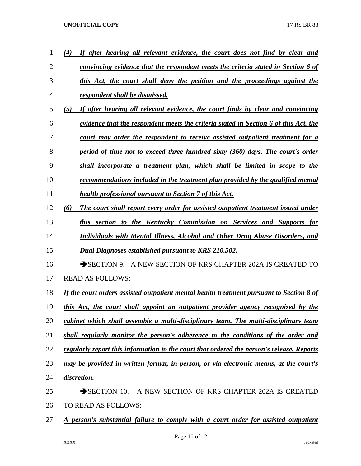| 1              | If after hearing all relevant evidence, the court does not find by clear and<br>(4)       |
|----------------|-------------------------------------------------------------------------------------------|
| $\overline{2}$ | convincing evidence that the respondent meets the criteria stated in Section 6 of         |
| 3              | this Act, the court shall deny the petition and the proceedings against the               |
| 4              | respondent shall be dismissed.                                                            |
| 5              | If after hearing all relevant evidence, the court finds by clear and convincing<br>(5)    |
| 6              | evidence that the respondent meets the criteria stated in Section 6 of this Act, the      |
| 7              | court may order the respondent to receive assisted outpatient treatment for a             |
| 8              | period of time not to exceed three hundred sixty (360) days. The court's order            |
| 9              | shall incorporate a treatment plan, which shall be limited in scope to the                |
| 10             | recommendations included in the treatment plan provided by the qualified mental           |
| 11             | <b>health professional pursuant to Section 7 of this Act.</b>                             |
| 12             | The court shall report every order for assisted outpatient treatment issued under<br>(6)  |
| 13             | this section to the Kentucky Commission on Services and Supports for                      |
| 14             | Individuals with Mental Illness, Alcohol and Other Drug Abuse Disorders, and              |
| 15             | Dual Diagnoses established pursuant to KRS 210.502.                                       |
| 16             | SECTION 9. A NEW SECTION OF KRS CHAPTER 202A IS CREATED TO                                |
| 17             | <b>READ AS FOLLOWS:</b>                                                                   |
| 18             | If the court orders assisted outpatient mental health treatment pursuant to Section 8 of  |
| 19             | this Act, the court shall appoint an outpatient provider agency recognized by the         |
| 20             | cabinet which shall assemble a multi-disciplinary team. The multi-disciplinary team       |
| 21             | shall regularly monitor the person's adherence to the conditions of the order and         |
| 22             | regularly report this information to the court that ordered the person's release. Reports |
| 23             | may be provided in written format, in person, or via electronic means, at the court's     |
| 24             | discretion.                                                                               |
| 25             | $\rightarrow$ SECTION 10.<br>A NEW SECTION OF KRS CHAPTER 202A IS CREATED                 |
| 26             | TO READ AS FOLLOWS:                                                                       |
| 27             | A person's substantial failure to comply with a court order for assisted outpatient       |
|                |                                                                                           |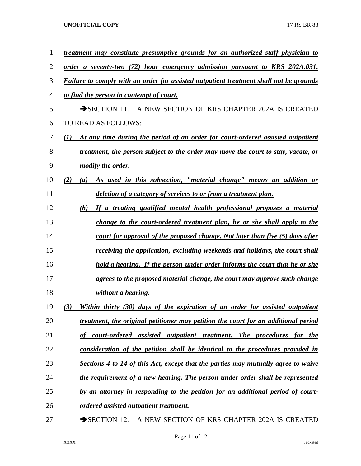| $\mathbf{1}$   | treatment may constitute presumptive grounds for an authorized staff physician to        |
|----------------|------------------------------------------------------------------------------------------|
| $\overline{2}$ | order a seventy-two (72) hour emergency admission pursuant to KRS 202A.031.              |
| 3              | Failure to comply with an order for assisted outpatient treatment shall not be grounds   |
| 4              | to find the person in contempt of court.                                                 |
| 5              | SECTION 11. A NEW SECTION OF KRS CHAPTER 202A IS CREATED                                 |
| 6              | TO READ AS FOLLOWS:                                                                      |
| 7              | At any time during the period of an order for court-ordered assisted outpatient<br>(1)   |
| 8              | <u>treatment, the person subject to the order may move the court to stay, vacate, or</u> |
| 9              | modify the order.                                                                        |
| 10             | (2)<br>As used in this subsection, "material change" means an addition or<br>(a)         |
| 11             | deletion of a category of services to or from a treatment plan.                          |
| 12             | If a treating qualified mental health professional proposes a material<br>(b)            |
| 13             | change to the court-ordered treatment plan, he or she shall apply to the                 |
| 14             | court for approval of the proposed change. Not later than five (5) days after            |
| 15             | receiving the application, excluding weekends and holidays, the court shall              |
| 16             | hold a hearing. If the person under order informs the court that he or she               |
| 17             | agrees to the proposed material change, the court may approve such change                |
| 18             | without a hearing.                                                                       |
| 19             | Within thirty (30) days of the expiration of an order for assisted outpatient<br>(3)     |
| 20             | treatment, the original petitioner may petition the court for an additional period       |
| 21             | <i>court-ordered assisted outpatient treatment.</i><br>The procedures for the            |
| 22             | consideration of the petition shall be identical to the procedures provided in           |
| 23             | <u>Sections 4 to 14 of this Act, except that the parties may mutually agree to waive</u> |
| 24             | the requirement of a new hearing. The person under order shall be represented            |
| 25             | by an attorney in responding to the petition for an additional period of court-          |
| 26             | <u>ordered</u> assisted outpatient treatment.                                            |
| 27             | A NEW SECTION OF KRS CHAPTER 202A IS CREATED<br>$\rightarrow$ SECTION 12.                |

Page 11 of 12